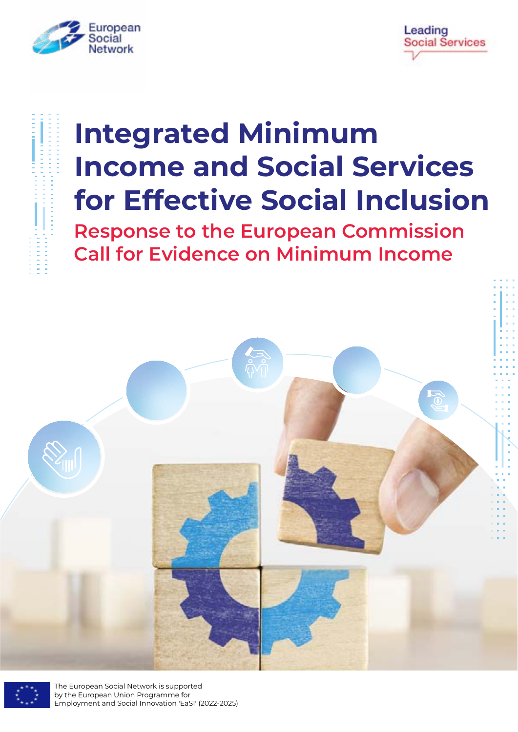



# **Integrated Minimum Income and Social Services for Effective Social Inclusion**

**Response to the European Commission Call for Evidence on Minimum Income**





The European Social Network is supported by the European Union Programme for Employment and Social Innovation 'EaSI' (2022-2025)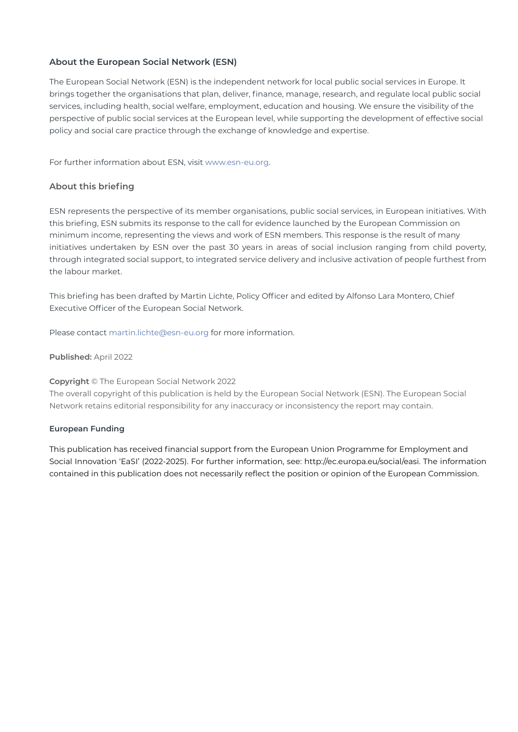#### **About the European Social Network (ESN)**

The European Social Network (ESN) is the independent network for local public social services in Europe. It brings together the organisations that plan, deliver, finance, manage, research, and regulate local public social services, including health, social welfare, employment, education and housing. We ensure the visibility of the perspective of public social services at the European level, while supporting the development of effective social policy and social care practice through the exchange of knowledge and expertise.

For further information about ESN, visit [www.esn-eu.org](http://www.esn-eu.org).

#### **About this briefing**

ESN represents the perspective of its member organisations, public social services, in European initiatives. With this briefing, ESN submits its response to the call for evidence launched by the European Commission on minimum income, representing the views and work of ESN members. This response is the result of many initiatives undertaken by ESN over the past 30 years in areas of social inclusion ranging from child poverty, through integrated social support, to integrated service delivery and inclusive activation of people furthest from the labour market.

This briefing has been drafted by Martin Lichte, Policy Officer and edited by Alfonso Lara Montero, Chief Executive Officer of the European Social Network.

Please contact<martin.lichte@esn-eu.org> for more information.

**Published:** April 2022

**Copyright** © The European Social Network 2022

The overall copyright of this publication is held by the European Social Network (ESN). The European Social Network retains editorial responsibility for any inaccuracy or inconsistency the report may contain.

#### **European Funding**

This publication has received financial support from the European Union Programme for Employment and Social Innovation 'EaSI' (2022-2025). For further information, see: [http://ec.europa.eu/social/easi.](http://ec.europa.eu/social/easi) The information contained in this publication does not necessarily reflect the position or opinion of the European Commission.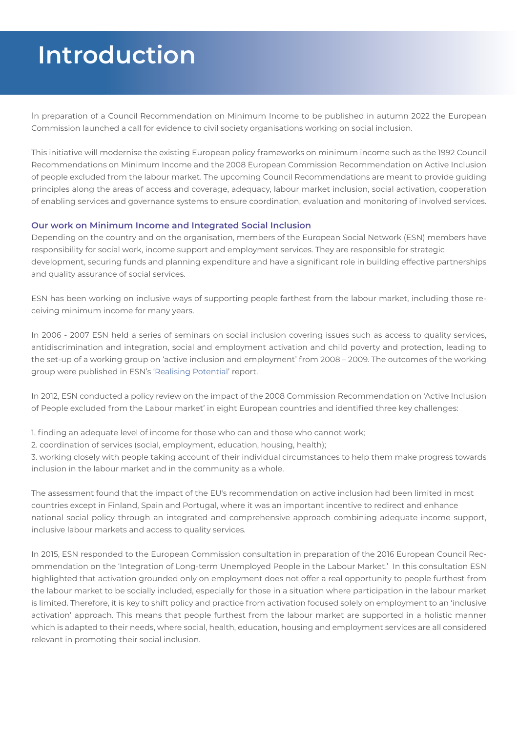## **Introduction**

In preparation of a Council Recommendation on Minimum Income to be published in autumn 2022 the European Commission launched a call for evidence to civil society organisations working on social inclusion.

This initiative will modernise the existing European policy frameworks on minimum income such as the 1992 Council Recommendations on Minimum Income and the 2008 European Commission Recommendation on Active Inclusion of people excluded from the labour market. The upcoming Council Recommendations are meant to provide guiding principles along the areas of access and coverage, adequacy, labour market inclusion, social activation, cooperation of enabling services and governance systems to ensure coordination, evaluation and monitoring of involved services.

#### **Our work on Minimum Income and Integrated Social Inclusion**

Depending on the country and on the organisation, members of the European Social Network (ESN) members have responsibility for social work, income support and employment services. They are responsible for strategic development, securing funds and planning expenditure and have a significant role in building effective partnerships and quality assurance of social services.

ESN has been working on inclusive ways of supporting people farthest from the labour market, including those receiving minimum income for many years.

In 2006 - 2007 ESN held a series of seminars on social inclusion covering issues such as access to quality services, antidiscrimination and integration, social and employment activation and child poverty and protection, leading to the set-up of a working group on 'active inclusion and employment' from 2008 – 2009. The outcomes of the working group were published in ESN's ['Realising Potential](https://www.esn-eu.org/sites/default/files/publications/reports_-_Realising_Potential.pdf)' report.

In 2012, ESN conducted a policy review on the impact of the 2008 Commission Recommendation on 'Active Inclusion of People excluded from the Labour market' in eight European countries and identified three key challenges:

1. finding an adequate level of income for those who can and those who cannot work;

2. coordination of services (social, employment, education, housing, health);

3. working closely with people taking account of their individual circumstances to help them make progress towards inclusion in the labour market and in the community as a whole.

The assessment found that the impact of the EU's recommendation on active inclusion had been limited in most countries except in Finland, Spain and Portugal, where it was an important incentive to redirect and enhance national social policy through an integrated and comprehensive approach combining adequate income support, inclusive labour markets and access to quality services.

In 2015, ESN responded to the European Commission consultation in preparation of the 2016 European Council Recommendation on the 'Integration of Long-term Unemployed People in the Labour Market.' In this consultation ESN highlighted that activation grounded only on employment does not offer a real opportunity to people furthest from the labour market to be socially included, especially for those in a situation where participation in the labour market is limited. Therefore, it is key to shift policy and practice from activation focused solely on employment to an 'inclusive activation' approach. This means that people furthest from the labour market are supported in a holistic manner which is adapted to their needs, where social, health, education, housing and employment services are all considered relevant in promoting their social inclusion.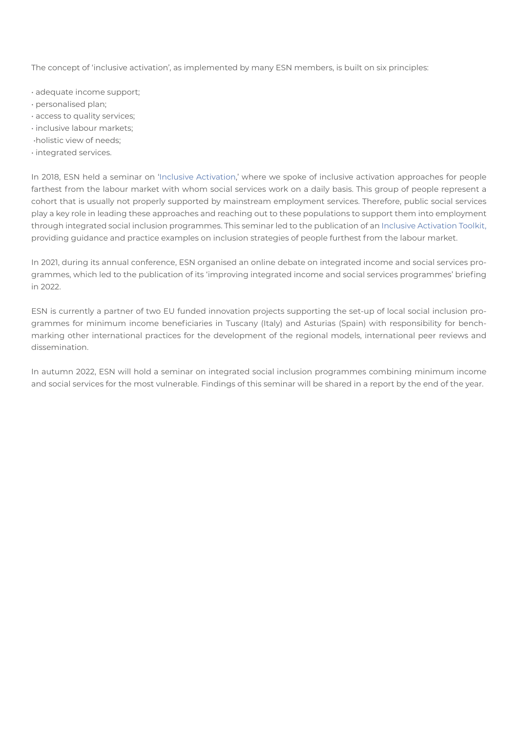The concept of 'inclusive activation', as implemented by many ESN members, is built on six principles:

- adequate income support;
- personalised plan;
- access to quality services;
- inclusive labour markets;
- •holistic view of needs;
- integrated services.

In 2018, ESN held a seminar on ['Inclusive Activation](https://www.esn-eu.org/policy/inclusive-activation),' where we spoke of inclusive activation approaches for people farthest from the labour market with whom social services work on a daily basis. This group of people represent a cohort that is usually not properly supported by mainstream employment services. Therefore, public social services play a key role in leading these approaches and reaching out to these populations to support them into employment through integrated social inclusion programmes. This seminar led to the publication of an [Inclusive Activation Toolkit,](https://www.esn-eu.org/news/inclusive-activation-new-toolkit-professionals) providing guidance and practice examples on inclusion strategies of people furthest from the labour market.

In 2021, during its annual conference, ESN organised an online debate on integrated income and social services programmes, which led to the publication of its 'improving integrated income and social services programmes' briefing in 2022.

ESN is currently a partner of two EU funded innovation projects supporting the set-up of local social inclusion programmes for minimum income beneficiaries in Tuscany (Italy) and Asturias (Spain) with responsibility for benchmarking other international practices for the development of the regional models, international peer reviews and dissemination.

In autumn 2022, ESN will hold a seminar on integrated social inclusion programmes combining minimum income and social services for the most vulnerable. Findings of this seminar will be shared in a report by the end of the year.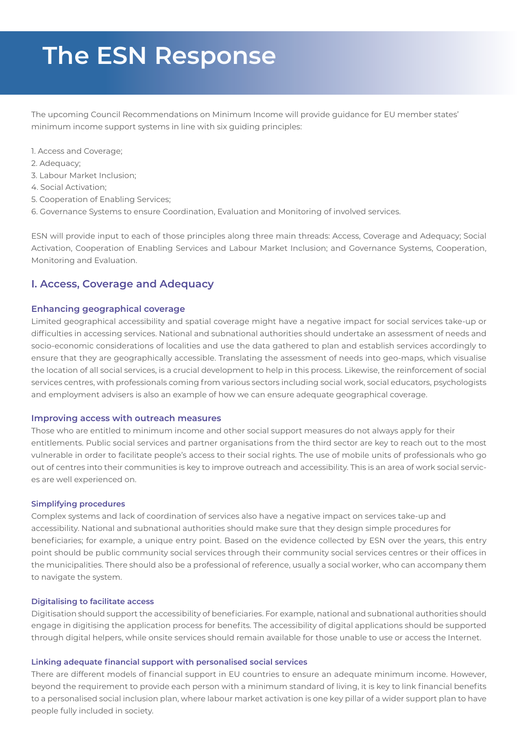# **The ESN Response**

The upcoming Council Recommendations on Minimum Income will provide guidance for EU member states' minimum income support systems in line with six guiding principles:

- 1. Access and Coverage;
- 2. Adequacy;
- 3. Labour Market Inclusion;
- 4. Social Activation;
- 5. Cooperation of Enabling Services;
- 6. Governance Systems to ensure Coordination, Evaluation and Monitoring of involved services.

ESN will provide input to each of those principles along three main threads: Access, Coverage and Adequacy; Social Activation, Cooperation of Enabling Services and Labour Market Inclusion; and Governance Systems, Cooperation, Monitoring and Evaluation.

### **I. Access, Coverage and Adequacy**

#### **Enhancing geographical coverage**

Limited geographical accessibility and spatial coverage might have a negative impact for social services take-up or difficulties in accessing services. National and subnational authorities should undertake an assessment of needs and socio-economic considerations of localities and use the data gathered to plan and establish services accordingly to ensure that they are geographically accessible. Translating the assessment of needs into geo-maps, which visualise the location of all social services, is a crucial development to help in this process. Likewise, the reinforcement of social services centres, with professionals coming from various sectors including social work, social educators, psychologists and employment advisers is also an example of how we can ensure adequate geographical coverage.

#### **Improving access with outreach measures**

Those who are entitled to minimum income and other social support measures do not always apply for their entitlements. Public social services and partner organisations from the third sector are key to reach out to the most vulnerable in order to facilitate people's access to their social rights. The use of mobile units of professionals who go out of centres into their communities is key to improve outreach and accessibility. This is an area of work social services are well experienced on.

#### **Simplifying procedures**

Complex systems and lack of coordination of services also have a negative impact on services take-up and accessibility. National and subnational authorities should make sure that they design simple procedures for beneficiaries; for example, a unique entry point. Based on the evidence collected by ESN over the years, this entry point should be public community social services through their community social services centres or their offices in the municipalities. There should also be a professional of reference, usually a social worker, who can accompany them to navigate the system.

#### **Digitalising to facilitate access**

Digitisation should support the accessibility of beneficiaries. For example, national and subnational authorities should engage in digitising the application process for benefits. The accessibility of digital applications should be supported through digital helpers, while onsite services should remain available for those unable to use or access the Internet.

#### **Linking adequate financial support with personalised social services**

There are different models of financial support in EU countries to ensure an adequate minimum income. However, beyond the requirement to provide each person with a minimum standard of living, it is key to link financial benefits to a personalised social inclusion plan, where labour market activation is one key pillar of a wider support plan to have people fully included in society.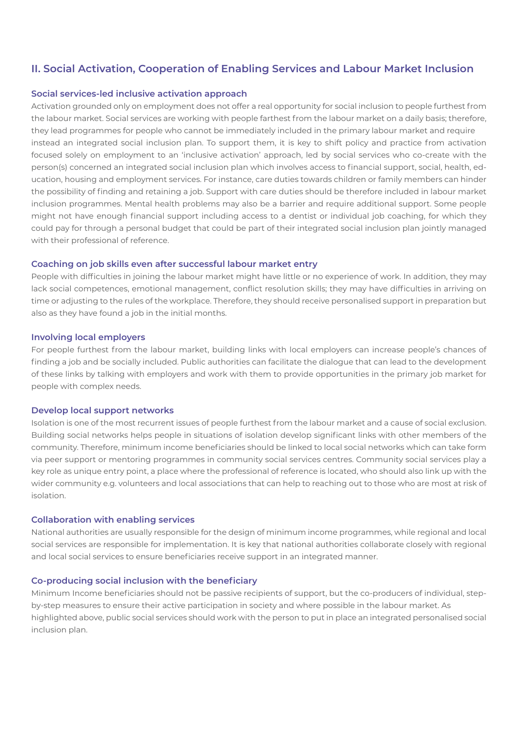### **II. Social Activation, Cooperation of Enabling Services and Labour Market Inclusion**

#### **Social services-led inclusive activation approach**

Activation grounded only on employment does not offer a real opportunity for social inclusion to people furthest from the labour market. Social services are working with people farthest from the labour market on a daily basis; therefore, they lead programmes for people who cannot be immediately included in the primary labour market and require instead an integrated social inclusion plan. To support them, it is key to shift policy and practice from activation focused solely on employment to an 'inclusive activation' approach, led by social services who co-create with the person(s) concerned an integrated social inclusion plan which involves access to financial support, social, health, education, housing and employment services. For instance, care duties towards children or family members can hinder the possibility of finding and retaining a job. Support with care duties should be therefore included in labour market inclusion programmes. Mental health problems may also be a barrier and require additional support. Some people might not have enough financial support including access to a dentist or individual job coaching, for which they could pay for through a personal budget that could be part of their integrated social inclusion plan jointly managed with their professional of reference.

#### **Coaching on job skills even after successful labour market entry**

People with difficulties in joining the labour market might have little or no experience of work. In addition, they may lack social competences, emotional management, conflict resolution skills; they may have difficulties in arriving on time or adjusting to the rules of the workplace. Therefore, they should receive personalised support in preparation but also as they have found a job in the initial months.

#### **Involving local employers**

For people furthest from the labour market, building links with local employers can increase people's chances of finding a job and be socially included. Public authorities can facilitate the dialogue that can lead to the development of these links by talking with employers and work with them to provide opportunities in the primary job market for people with complex needs.

#### **Develop local support networks**

Isolation is one of the most recurrent issues of people furthest from the labour market and a cause of social exclusion. Building social networks helps people in situations of isolation develop significant links with other members of the community. Therefore, minimum income beneficiaries should be linked to local social networks which can take form via peer support or mentoring programmes in community social services centres. Community social services play a key role as unique entry point, a place where the professional of reference is located, who should also link up with the wider community e.g. volunteers and local associations that can help to reaching out to those who are most at risk of isolation.

#### **Collaboration with enabling services**

National authorities are usually responsible for the design of minimum income programmes, while regional and local social services are responsible for implementation. It is key that national authorities collaborate closely with regional and local social services to ensure beneficiaries receive support in an integrated manner.

#### **Co-producing social inclusion with the beneficiary**

Minimum Income beneficiaries should not be passive recipients of support, but the co-producers of individual, stepby-step measures to ensure their active participation in society and where possible in the labour market. As highlighted above, public social services should work with the person to put in place an integrated personalised social inclusion plan.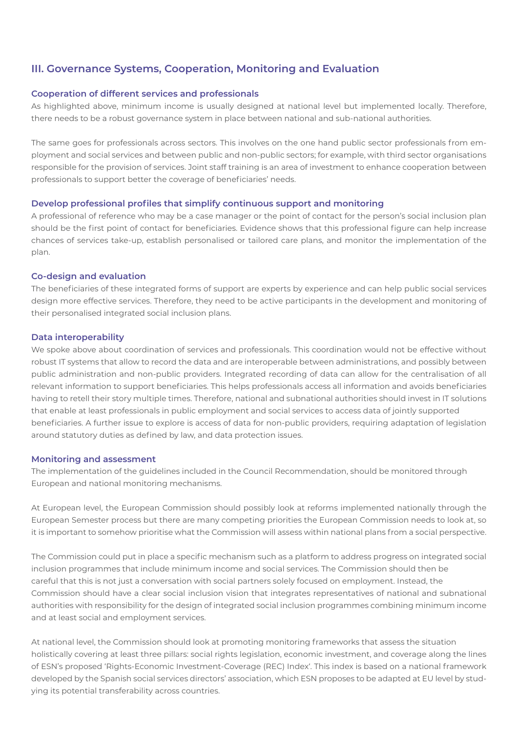### **III. Governance Systems, Cooperation, Monitoring and Evaluation**

#### **Cooperation of different services and professionals**

As highlighted above, minimum income is usually designed at national level but implemented locally. Therefore, there needs to be a robust governance system in place between national and sub-national authorities.

The same goes for professionals across sectors. This involves on the one hand public sector professionals from employment and social services and between public and non-public sectors; for example, with third sector organisations responsible for the provision of services. Joint staff training is an area of investment to enhance cooperation between professionals to support better the coverage of beneficiaries' needs.

#### **Develop professional profiles that simplify continuous support and monitoring**

A professional of reference who may be a case manager or the point of contact for the person's social inclusion plan should be the first point of contact for beneficiaries. Evidence shows that this professional figure can help increase chances of services take-up, establish personalised or tailored care plans, and monitor the implementation of the plan.

#### **Co-design and evaluation**

The beneficiaries of these integrated forms of support are experts by experience and can help public social services design more effective services. Therefore, they need to be active participants in the development and monitoring of their personalised integrated social inclusion plans.

#### **Data interoperability**

We spoke above about coordination of services and professionals. This coordination would not be effective without robust IT systems that allow to record the data and are interoperable between administrations, and possibly between public administration and non-public providers. Integrated recording of data can allow for the centralisation of all relevant information to support beneficiaries. This helps professionals access all information and avoids beneficiaries having to retell their story multiple times. Therefore, national and subnational authorities should invest in IT solutions that enable at least professionals in public employment and social services to access data of jointly supported beneficiaries. A further issue to explore is access of data for non-public providers, requiring adaptation of legislation around statutory duties as defined by law, and data protection issues.

#### **Monitoring and assessment**

The implementation of the guidelines included in the Council Recommendation, should be monitored through European and national monitoring mechanisms.

At European level, the European Commission should possibly look at reforms implemented nationally through the European Semester process but there are many competing priorities the European Commission needs to look at, so it is important to somehow prioritise what the Commission will assess within national plans from a social perspective.

The Commission could put in place a specific mechanism such as a platform to address progress on integrated social inclusion programmes that include minimum income and social services. The Commission should then be careful that this is not just a conversation with social partners solely focused on employment. Instead, the Commission should have a clear social inclusion vision that integrates representatives of national and subnational authorities with responsibility for the design of integrated social inclusion programmes combining minimum income and at least social and employment services.

At national level, the Commission should look at promoting monitoring frameworks that assess the situation holistically covering at least three pillars: social rights legislation, economic investment, and coverage along the lines of ESN's proposed 'Rights-Economic Investment-Coverage (REC) Index'. This index is based on a national framework developed by the Spanish social services directors' association, which ESN proposes to be adapted at EU level by studying its potential transferability across countries.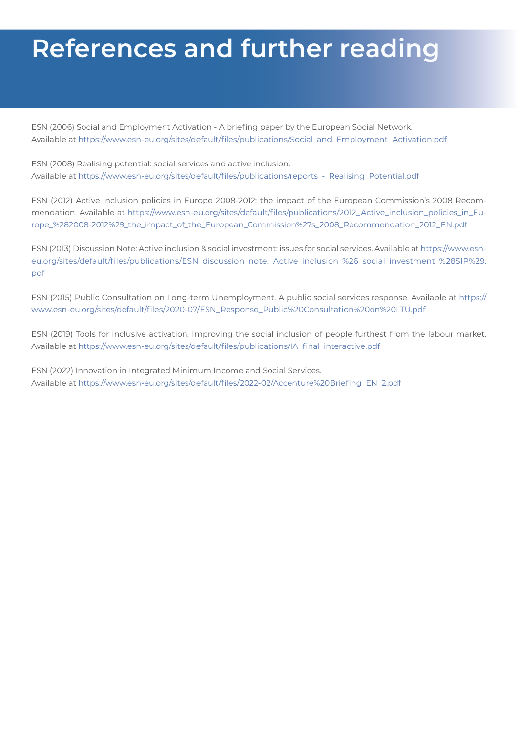# **References and further reading**

ESN (2006) Social and Employment Activation - A briefing paper by the European Social Network. Available at [https://www.esn-eu.org/sites/default/files/publications/Social\\_and\\_Employment\\_Activation.pdf](https://www.esn-eu.org/sites/default/files/publications/Social_and_Employment_Activation.pdf)

ESN (2008) Realising potential: social services and active inclusion. Available at [https://www.esn-eu.org/sites/default/files/publications/reports\\_-\\_Realising\\_Potential.pdf](https://www.esn-eu.org/sites/default/files/publications/reports_-_Realising_Potential.pdf)

ESN (2012) Active inclusion policies in Europe 2008-2012: the impact of the European Commission's 2008 Recommendation. Available at [https://www.esn-eu.org/sites/default/files/publications/2012\\_Active\\_inclusion\\_policies\\_in\\_Eu](https://www.esn-eu.org/sites/default/files/publications/2012_Active_inclusion_policies_in_Europe_%282008-2012%29_the_impact_of_the_European_Commission%27s_2008_Recommendation_2012_EN.pdf)[rope\\_%282008-2012%29\\_the\\_impact\\_of\\_the\\_European\\_Commission%27s\\_2008\\_Recommendation\\_2012\\_EN.pdf](https://www.esn-eu.org/sites/default/files/publications/2012_Active_inclusion_policies_in_Europe_%282008-2012%29_the_impact_of_the_European_Commission%27s_2008_Recommendation_2012_EN.pdf)

ESN (2013) Discussion Note: Active inclusion & social investment: issues for social services. Available at [https://www.esn](https://www.esn-eu.org/sites/default/files/publications/ESN_discussion_note._Active_inclusion_%26_social_investment_%28SIP%29.pdf)[eu.org/sites/default/files/publications/ESN\\_discussion\\_note.\\_Active\\_inclusion\\_%26\\_social\\_investment\\_%28SIP%29.](https://www.esn-eu.org/sites/default/files/publications/ESN_discussion_note._Active_inclusion_%26_social_investment_%28SIP%29.pdf) [pdf](https://www.esn-eu.org/sites/default/files/publications/ESN_discussion_note._Active_inclusion_%26_social_investment_%28SIP%29.pdf)

ESN (2015) Public Consultation on Long-term Unemployment. A public social services response. Available at [https://](https://www.esn-eu.org/sites/default/files/2020-07/ESN_Response_Public%20Consultation%20on%20LTU.pdf) [www.esn-eu.org/sites/default/files/2020-07/ESN\\_Response\\_Public%20Consultation%20on%20LTU.pdf](https://www.esn-eu.org/sites/default/files/2020-07/ESN_Response_Public%20Consultation%20on%20LTU.pdf)

ESN (2019) Tools for inclusive activation. Improving the social inclusion of people furthest from the labour market. Available at [https://www.esn-eu.org/sites/default/files/publications/IA\\_final\\_interactive.pdf](https://www.esn-eu.org/sites/default/files/publications/IA_final_interactive.pdf)

ESN (2022) Innovation in Integrated Minimum Income and Social Services. Available at [https://www.esn-eu.org/sites/default/files/2022-02/Accenture%20Briefing\\_EN\\_2.pdf](https://www.esn-eu.org/sites/default/files/2022-02/Accenture%20Briefing_EN_2.pdf)